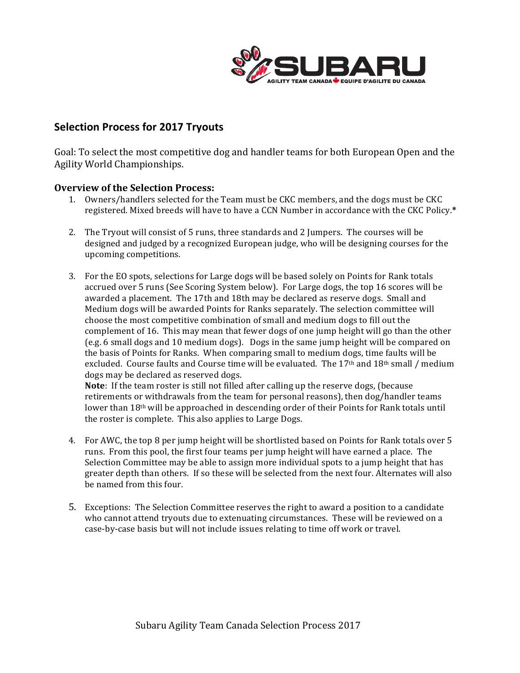

## **Selection Process for 2017 Tryouts**

Goal: To select the most competitive dog and handler teams for both European Open and the Agility World Championships. 

## **Overview of the Selection Process:**

- 1. Owners/handlers selected for the Team must be CKC members, and the dogs must be CKC registered. Mixed breeds will have to have a CCN Number in accordance with the CKC Policy.\*
- 2. The Tryout will consist of 5 runs, three standards and 2 Jumpers. The courses will be designed and judged by a recognized European judge, who will be designing courses for the upcoming competitions.
- 3. For the EO spots, selections for Large dogs will be based solely on Points for Rank totals accrued over 5 runs (See Scoring System below). For Large dogs, the top 16 scores will be awarded a placement. The 17th and 18th may be declared as reserve dogs. Small and Medium dogs will be awarded Points for Ranks separately. The selection committee will choose the most competitive combination of small and medium dogs to fill out the complement of 16. This may mean that fewer dogs of one jump height will go than the other (e.g. 6 small dogs and 10 medium dogs). Dogs in the same jump height will be compared on the basis of Points for Ranks. When comparing small to medium dogs, time faults will be excluded. Course faults and Course time will be evaluated. The  $17<sup>th</sup>$  and  $18<sup>th</sup>$  small / medium dogs may be declared as reserved dogs.

**Note**: If the team roster is still not filled after calling up the reserve dogs, (because retirements or withdrawals from the team for personal reasons), then dog/handler teams lower than  $18<sup>th</sup>$  will be approached in descending order of their Points for Rank totals until the roster is complete. This also applies to Large Dogs.

- 4. For AWC, the top 8 per jump height will be shortlisted based on Points for Rank totals over 5 runs. From this pool, the first four teams per jump height will have earned a place. The Selection Committee may be able to assign more individual spots to a jump height that has greater depth than others. If so these will be selected from the next four. Alternates will also be named from this four.
- 5. Exceptions: The Selection Committee reserves the right to award a position to a candidate who cannot attend tryouts due to extenuating circumstances. These will be reviewed on a case-by-case basis but will not include issues relating to time off work or travel.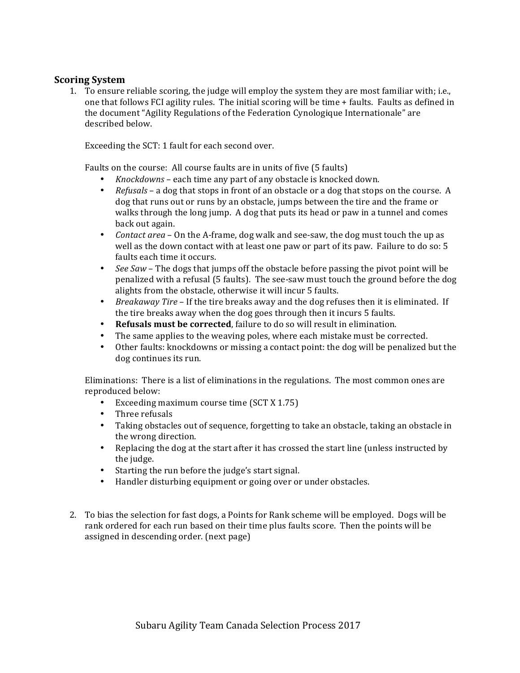## **Scoring System**

1. To ensure reliable scoring, the judge will employ the system they are most familiar with; i.e., one that follows FCI agility rules. The initial scoring will be time + faults. Faults as defined in the document "Agility Regulations of the Federation Cynologique Internationale" are described below.

Exceeding the SCT: 1 fault for each second over.

Faults on the course: All course faults are in units of five (5 faults)

- *Knockdowns* each time any part of any obstacle is knocked down.
- *Refusals* a dog that stops in front of an obstacle or a dog that stops on the course. A dog that runs out or runs by an obstacle, jumps between the tire and the frame or walks through the long jump. A dog that puts its head or paw in a tunnel and comes back out again.
- *Contact area* On the A-frame, dog walk and see-saw, the dog must touch the up as well as the down contact with at least one paw or part of its paw. Failure to do so: 5 faults each time it occurs.
- See Saw The dogs that jumps off the obstacle before passing the pivot point will be penalized with a refusal (5 faults). The see-saw must touch the ground before the dog alights from the obstacle, otherwise it will incur 5 faults.
- *Breakaway Tire* If the tire breaks away and the dog refuses then it is eliminated. If the tire breaks away when the dog goes through then it incurs 5 faults.
- **Refusals must be corrected**, failure to do so will result in elimination.
- The same applies to the weaving poles, where each mistake must be corrected.
- Other faults: knockdowns or missing a contact point: the dog will be penalized but the dog continues its run.

Eliminations: There is a list of eliminations in the regulations. The most common ones are reproduced below:

- Exceeding maximum course time (SCT X 1.75)
- Three refusals
- Taking obstacles out of sequence, forgetting to take an obstacle, taking an obstacle in the wrong direction.
- Replacing the dog at the start after it has crossed the start line (unless instructed by the judge.
- Starting the run before the judge's start signal.
- Handler disturbing equipment or going over or under obstacles.
- 2. To bias the selection for fast dogs, a Points for Rank scheme will be employed. Dogs will be rank ordered for each run based on their time plus faults score. Then the points will be assigned in descending order. (next page)